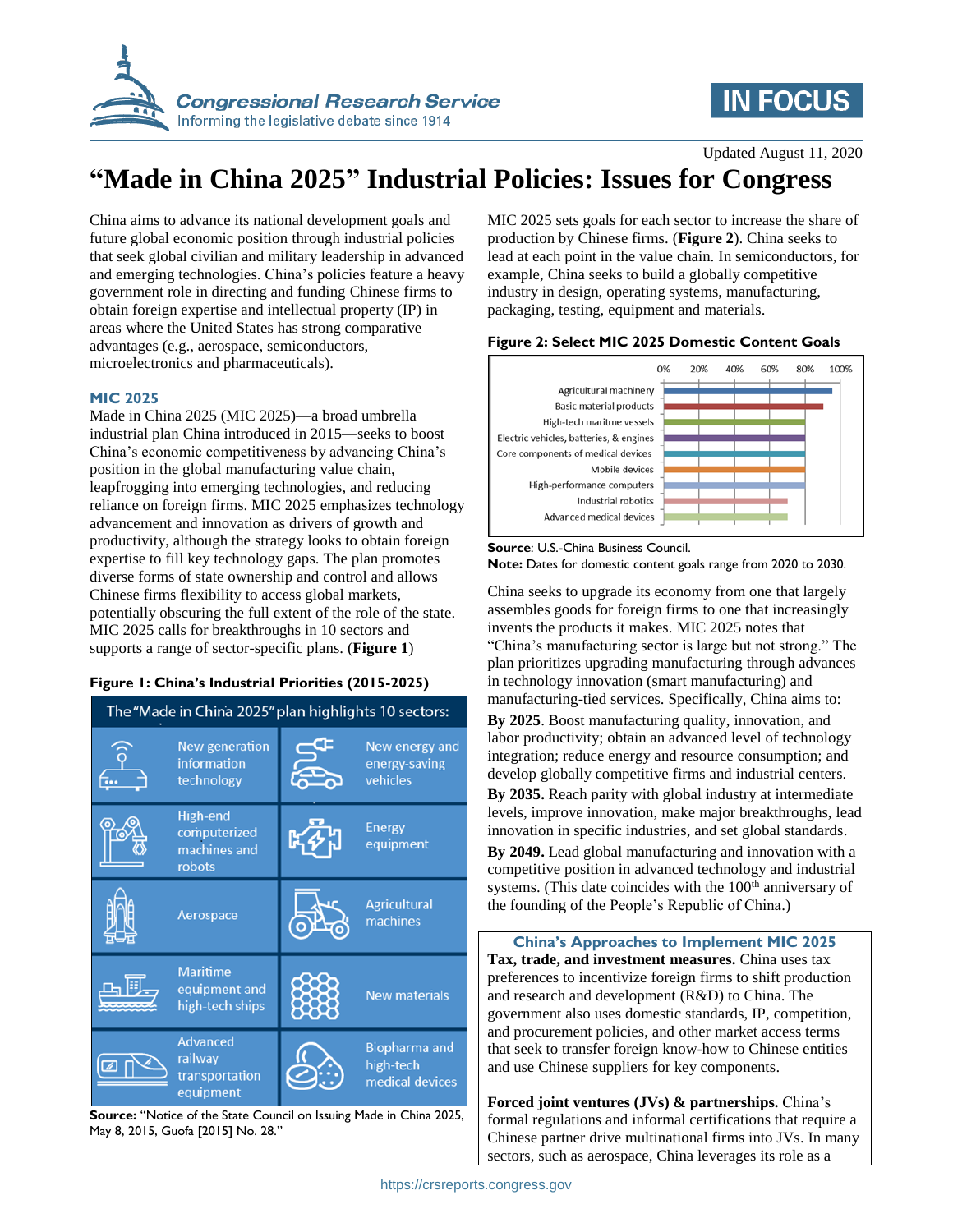

# **IN FOCUS**

Updated August 11, 2020

# **"Made in China 2025" Industrial Policies: Issues for Congress**

China aims to advance its national development goals and future global economic position through industrial policies that seek global civilian and military leadership in advanced and emerging technologies. China's policies feature a heavy government role in directing and funding Chinese firms to obtain foreign expertise and intellectual property (IP) in areas where the United States has strong comparative advantages (e.g., aerospace, semiconductors, microelectronics and pharmaceuticals).

### **MIC 2025**

Made in China 2025 (MIC 2025)—a broad umbrella industrial plan China introduced in 2015—seeks to boost China's economic competitiveness by advancing China's position in the global manufacturing value chain, leapfrogging into emerging technologies, and reducing reliance on foreign firms. MIC 2025 emphasizes technology advancement and innovation as drivers of growth and productivity, although the strategy looks to obtain foreign expertise to fill key technology gaps. The plan promotes diverse forms of state ownership and control and allows Chinese firms flexibility to access global markets, potentially obscuring the full extent of the role of the state. MIC 2025 calls for breakthroughs in 10 sectors and supports a range of sector-specific plans. (**Figure 1**)

### **Figure 1: China's Industrial Priorities (2015-2025)**



**Source:** "Notice of the State Council on Issuing Made in China 2025, May 8, 2015, Guofa [2015] No. 28."

MIC 2025 sets goals for each sector to increase the share of production by Chinese firms. (**Figure 2**). China seeks to lead at each point in the value chain. In semiconductors, for example, China seeks to build a globally competitive industry in design, operating systems, manufacturing, packaging, testing, equipment and materials.

#### **Figure 2: Select MIC 2025 Domestic Content Goals**



**Source**: U.S.-China Business Council. **Note:** Dates for domestic content goals range from 2020 to 2030.

China seeks to upgrade its economy from one that largely assembles goods for foreign firms to one that increasingly invents the products it makes. MIC 2025 notes that "China's manufacturing sector is large but not strong." The plan prioritizes upgrading manufacturing through advances in technology innovation (smart manufacturing) and manufacturing-tied services. Specifically, China aims to:

**By 2025**. Boost manufacturing quality, innovation, and labor productivity; obtain an advanced level of technology integration; reduce energy and resource consumption; and develop globally competitive firms and industrial centers.

**By 2035.** Reach parity with global industry at intermediate levels, improve innovation, make major breakthroughs, lead innovation in specific industries, and set global standards.

**By 2049.** Lead global manufacturing and innovation with a competitive position in advanced technology and industrial systems. (This date coincides with the 100<sup>th</sup> anniversary of the founding of the People's Republic of China.)

**China's Approaches to Implement MIC 2025 Tax, trade, and investment measures.** China uses tax preferences to incentivize foreign firms to shift production and research and development (R&D) to China. The government also uses domestic standards, IP, competition, and procurement policies, and other market access terms that seek to transfer foreign know-how to Chinese entities and use Chinese suppliers for key components.

**Forced joint ventures (JVs) & partnerships.** China's formal regulations and informal certifications that require a Chinese partner drive multinational firms into JVs. In many sectors, such as aerospace, China leverages its role as a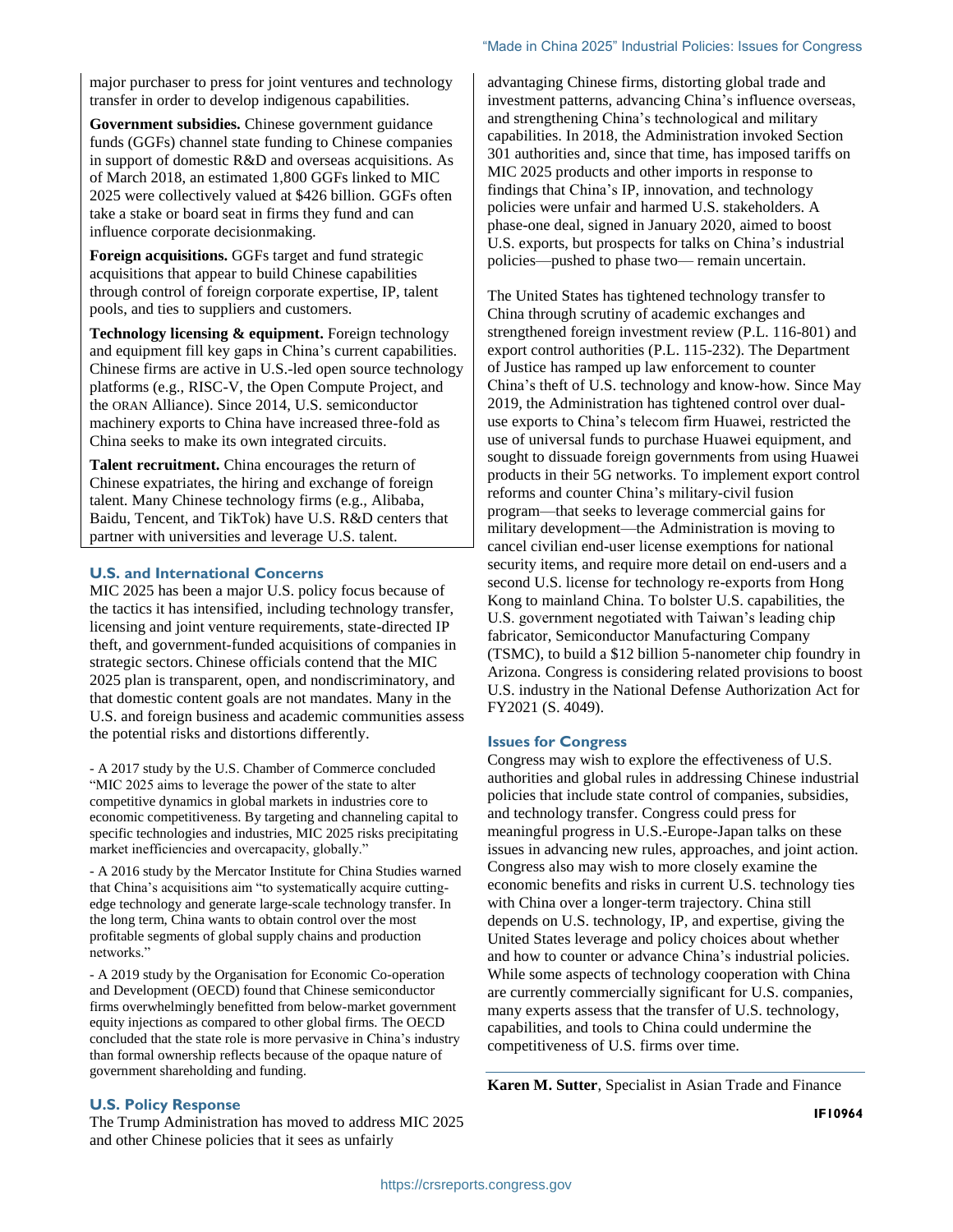major purchaser to press for joint ventures and technology transfer in order to develop indigenous capabilities.

**Government subsidies.** Chinese government guidance funds (GGFs) channel state funding to Chinese companies in support of domestic R&D and overseas acquisitions. As of March 2018, an estimated 1,800 GGFs linked to MIC 2025 were collectively valued at \$426 billion. GGFs often take a stake or board seat in firms they fund and can influence corporate decisionmaking.

**Foreign acquisitions.** GGFs target and fund strategic acquisitions that appear to build Chinese capabilities through control of foreign corporate expertise, IP, talent pools, and ties to suppliers and customers.

**Technology licensing & equipment.** Foreign technology and equipment fill key gaps in China's current capabilities. Chinese firms are active in U.S.-led open source technology platforms (e.g., RISC-V, the Open Compute Project, and the ORAN Alliance). Since 2014, U.S. semiconductor machinery exports to China have increased three-fold as China seeks to make its own integrated circuits.

**Talent recruitment.** China encourages the return of Chinese expatriates, the hiring and exchange of foreign talent. Many Chinese technology firms (e.g., Alibaba, Baidu, Tencent, and TikTok) have U.S. R&D centers that partner with universities and leverage U.S. talent.

#### **U.S. and International Concerns**

MIC 2025 has been a major U.S. policy focus because of the tactics it has intensified, including technology transfer, licensing and joint venture requirements, state-directed IP theft, and government-funded acquisitions of companies in strategic sectors. Chinese officials contend that the MIC 2025 plan is transparent, open, and nondiscriminatory, and that domestic content goals are not mandates. Many in the U.S. and foreign business and academic communities assess the potential risks and distortions differently.

- A 2017 study by the U.S. Chamber of Commerce concluded "MIC 2025 aims to leverage the power of the state to alter competitive dynamics in global markets in industries core to economic competitiveness. By targeting and channeling capital to specific technologies and industries, MIC 2025 risks precipitating market inefficiencies and overcapacity, globally."

- A 2016 study by the Mercator Institute for China Studies warned that China's acquisitions aim "to systematically acquire cuttingedge technology and generate large-scale technology transfer. In the long term, China wants to obtain control over the most profitable segments of global supply chains and production networks."

- A 2019 study by the Organisation for Economic Co-operation and Development (OECD) found that Chinese semiconductor firms overwhelmingly benefitted from below-market government equity injections as compared to other global firms. The OECD concluded that the state role is more pervasive in China's industry than formal ownership reflects because of the opaque nature of government shareholding and funding.

advantaging Chinese firms, distorting global trade and investment patterns, advancing China's influence overseas, and strengthening China's technological and military capabilities. In 2018, the Administration invoked Section 301 authorities and, since that time, has imposed tariffs on MIC 2025 products and other imports in response to findings that China's IP, innovation, and technology policies were unfair and harmed U.S. stakeholders. A phase-one deal, signed in January 2020, aimed to boost U.S. exports, but prospects for talks on China's industrial policies—pushed to phase two— remain uncertain.

The United States has tightened technology transfer to China through scrutiny of academic exchanges and strengthened foreign investment review (P.L. 116-801) and export control authorities (P.L. 115-232). The Department of Justice has ramped up law enforcement to counter China's theft of U.S. technology and know-how. Since May 2019, the Administration has tightened control over dualuse exports to China's telecom firm Huawei, restricted the use of universal funds to purchase Huawei equipment, and sought to dissuade foreign governments from using Huawei products in their 5G networks. To implement export control reforms and counter China's military-civil fusion program—that seeks to leverage commercial gains for military development—the Administration is moving to cancel civilian end-user license exemptions for national security items, and require more detail on end-users and a second U.S. license for technology re-exports from Hong Kong to mainland China. To bolster U.S. capabilities, the U.S. government negotiated with Taiwan's leading chip fabricator, Semiconductor Manufacturing Company (TSMC), to build a \$12 billion 5-nanometer chip foundry in Arizona. Congress is considering related provisions to boost U.S. industry in the National Defense Authorization Act for FY2021 (S. 4049).

#### **Issues for Congress**

Congress may wish to explore the effectiveness of U.S. authorities and global rules in addressing Chinese industrial policies that include state control of companies, subsidies, and technology transfer. Congress could press for meaningful progress in U.S.-Europe-Japan talks on these issues in advancing new rules, approaches, and joint action. Congress also may wish to more closely examine the economic benefits and risks in current U.S. technology ties with China over a longer-term trajectory. China still depends on U.S. technology, IP, and expertise, giving the United States leverage and policy choices about whether and how to counter or advance China's industrial policies. While some aspects of technology cooperation with China are currently commercially significant for U.S. companies, many experts assess that the transfer of U.S. technology, capabilities, and tools to China could undermine the competitiveness of U.S. firms over time.

**Karen M. Sutter**, Specialist in Asian Trade and Finance

**IF10964**

#### **U.S. Policy Response**

The Trump Administration has moved to address MIC 2025 and other Chinese policies that it sees as unfairly